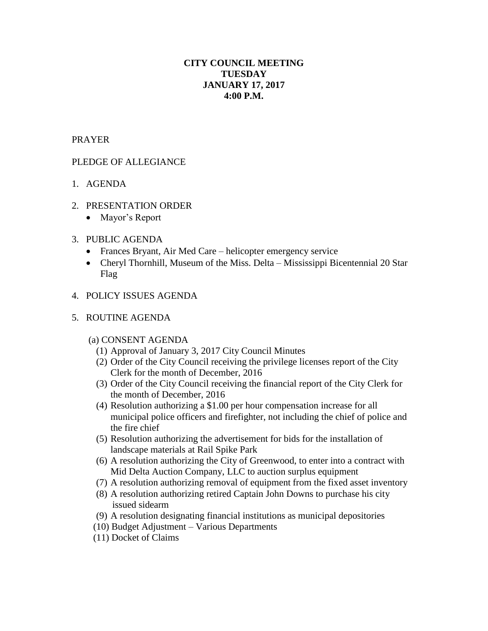# **CITY COUNCIL MEETING TUESDAY JANUARY 17, 2017 4:00 P.M.**

### PRAYER

## PLEDGE OF ALLEGIANCE

- 1. AGENDA
- 2. PRESENTATION ORDER
	- Mayor's Report
- 3. PUBLIC AGENDA
	- Frances Bryant, Air Med Care helicopter emergency service
	- Cheryl Thornhill, Museum of the Miss. Delta Mississippi Bicentennial 20 Star Flag
- 4. POLICY ISSUES AGENDA
- 5. ROUTINE AGENDA
	- (a) CONSENT AGENDA
		- (1) Approval of January 3, 2017 City Council Minutes
		- (2) Order of the City Council receiving the privilege licenses report of the City Clerk for the month of December, 2016
		- (3) Order of the City Council receiving the financial report of the City Clerk for the month of December, 2016
		- (4) Resolution authorizing a \$1.00 per hour compensation increase for all municipal police officers and firefighter, not including the chief of police and the fire chief
		- (5) Resolution authorizing the advertisement for bids for the installation of landscape materials at Rail Spike Park
		- (6) A resolution authorizing the City of Greenwood, to enter into a contract with Mid Delta Auction Company, LLC to auction surplus equipment
		- (7) A resolution authorizing removal of equipment from the fixed asset inventory
		- (8) A resolution authorizing retired Captain John Downs to purchase his city issued sidearm
		- (9) A resolution designating financial institutions as municipal depositories
		- (10) Budget Adjustment Various Departments
		- (11) Docket of Claims